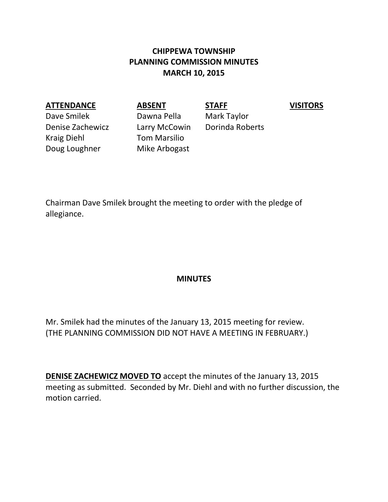# **CHIPPEWA TOWNSHIP PLANNING COMMISSION MINUTES MARCH 10, 2015**

## **ATTENDANCE ABSENT STAFF VISITORS**

Dave Smilek Dawna Pella Mark Taylor Denise Zachewicz Larry McCowin Dorinda Roberts Kraig Diehl Tom Marsilio Doug Loughner Mike Arbogast

Chairman Dave Smilek brought the meeting to order with the pledge of allegiance.

#### **MINUTES**

Mr. Smilek had the minutes of the January 13, 2015 meeting for review. (THE PLANNING COMMISSION DID NOT HAVE A MEETING IN FEBRUARY.)

**DENISE ZACHEWICZ MOVED TO** accept the minutes of the January 13, 2015 meeting as submitted. Seconded by Mr. Diehl and with no further discussion, the motion carried.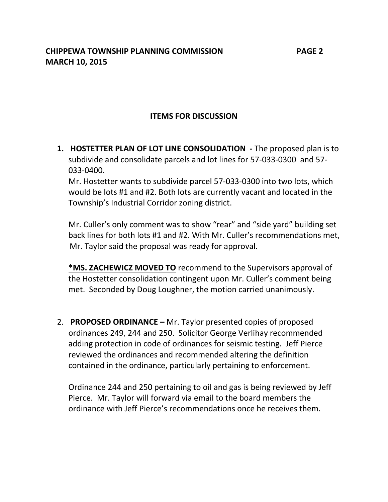# **ITEMS FOR DISCUSSION**

**1. HOSTETTER PLAN OF LOT LINE CONSOLIDATION -** The proposed plan is to subdivide and consolidate parcels and lot lines for 57-033-0300 and 57- 033-0400. Mr. Hostetter wants to subdivide parcel 57-033-0300 into two lots, which would be lots #1 and #2. Both lots are currently vacant and located in the

Township's Industrial Corridor zoning district.

Mr. Culler's only comment was to show "rear" and "side yard" building set back lines for both lots #1 and #2. With Mr. Culler's recommendations met, Mr. Taylor said the proposal was ready for approval.

**\*MS. ZACHEWICZ MOVED TO** recommend to the Supervisors approval of the Hostetter consolidation contingent upon Mr. Culler's comment being met. Seconded by Doug Loughner, the motion carried unanimously.

2. **PROPOSED ORDINANCE –** Mr. Taylor presented copies of proposed ordinances 249, 244 and 250. Solicitor George Verlihay recommended adding protection in code of ordinances for seismic testing. Jeff Pierce reviewed the ordinances and recommended altering the definition contained in the ordinance, particularly pertaining to enforcement.

Ordinance 244 and 250 pertaining to oil and gas is being reviewed by Jeff Pierce. Mr. Taylor will forward via email to the board members the ordinance with Jeff Pierce's recommendations once he receives them.